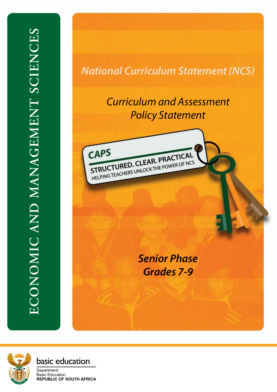

# *Curriculum and Assessment Policy Statement*



*Senior Phase Grades 7-9*



basic education

Basic Education Department: **REPUBLIC OF SOUTH AFRICA**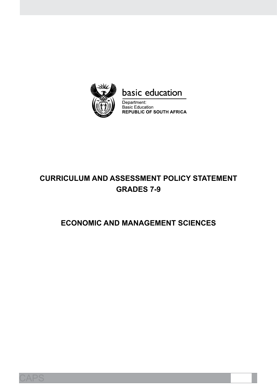

# basic education

Department: **Basic Education REPUBLIC OF SOUTH AFRICA** 

# **Curriculum and Assessment Policy Statement GRADES 7-9**

# **ECONOMIC AND MANAGEMENT SCIENCES**

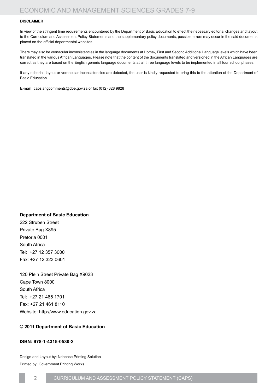#### **DISCLAIMER**

In view of the stringent time requirements encountered by the Department of Basic Education to effect the necessary editorial changes and layout to the Curriculum and Assessment Policy Statements and the supplementary policy documents, possible errors may occur in the said documents placed on the official departmental websites.

There may also be vernacular inconsistencies in the language documents at Home-, First and Second Additional Language levels which have been translated in the various African Languages. Please note that the content of the documents translated and versioned in the African Languages are correct as they are based on the English generic language documents at all three language levels to be implemented in all four school phases.

If any editorial, layout or vernacular inconsistencies are detected, the user is kindly requested to bring this to the attention of the Department of Basic Education.

E-mail: capslangcomments@dbe.gov.za or fax (012) 328 9828

#### **Department of Basic Education**

222 Struben Street Private Bag X895 Pretoria 0001 South Africa Tel: +27 12 357 3000 Fax: +27 12 323 0601

120 Plein Street Private Bag X9023 Cape Town 8000 South Africa Tel: +27 21 465 1701 Fax: +27 21 461 8110 Website: http://www.education.gov.za

#### **© 2011 Department of Basic Education**

#### **Isbn: 978-1-4315-0530-2**

Design and Layout by: Ndabase Printing Solution Printed by: Government Printing Works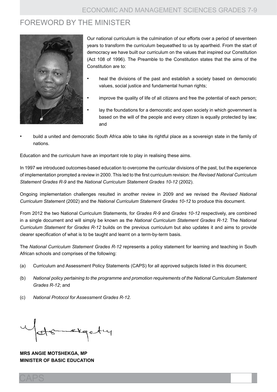# FOREWORD by the minister



Our national curriculum is the culmination of our efforts over a period of seventeen years to transform the curriculum bequeathed to us by apartheid. From the start of democracy we have built our curriculum on the values that inspired our Constitution (Act 108 of 1996). The Preamble to the Constitution states that the aims of the Constitution are to:

- heal the divisions of the past and establish a society based on democratic values, social justice and fundamental human rights;
- improve the quality of life of all citizens and free the potential of each person;
	- lay the foundations for a democratic and open society in which government is based on the will of the people and every citizen is equally protected by law; and
- build a united and democratic South Africa able to take its rightful place as a sovereign state in the family of nations.

Education and the curriculum have an important role to play in realising these aims.

In 1997 we introduced outcomes-based education to overcome the curricular divisions of the past, but the experience of implementation prompted a review in 2000. This led to the first curriculum revision: the *Revised National Curriculum Statement Grades R-9* and the *National Curriculum Statement Grades 10-12* (2002).

Ongoing implementation challenges resulted in another review in 2009 and we revised the *Revised National Curriculum Statement* (2002) and the *National Curriculum Statement Grades 10-12* to produce this document.

From 2012 the two National Curriculum Statements, for *Grades R-9* and *Grades 10-12* respectively, are combined in a single document and will simply be known as the *National Curriculum Statement Grades R-12.* The *National Curriculum Statement for Grades R-12* builds on the previous curriculum but also updates it and aims to provide clearer specification of what is to be taught and learnt on a term-by-term basis.

The *National Curriculum Statement Grades R-12* represents a policy statement for learning and teaching in South African schools and comprises of the following:

- (a) Curriculum and Assessment Policy Statements (CAPS) for all approved subjects listed in this document;
- (b) *National policy pertaining to the programme and promotion requirements of the National Curriculum Statement Grades R-12*; and
- (c) *National Protocol for Assessment Grades R-12.*

expedy

**MRS ANGIE MOTSHEKGA, MP MINISTER OF BASIC EDUCATION**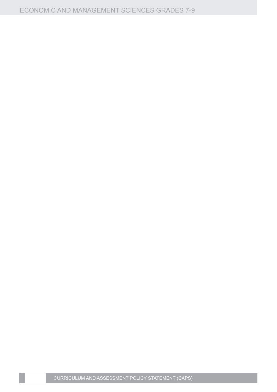CURRICULUM AND ASSESSMENT POLICY STATEMENT (CAPS)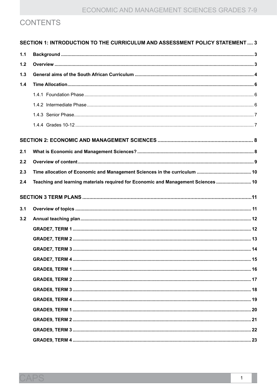# **CONTENTS**

|     | SECTION 1: INTRODUCTION TO THE CURRICULUM AND ASSESSMENT POLICY STATEMENT 3       |  |
|-----|-----------------------------------------------------------------------------------|--|
| 1.1 |                                                                                   |  |
| 1.2 |                                                                                   |  |
| 1.3 |                                                                                   |  |
| 1.4 |                                                                                   |  |
|     |                                                                                   |  |
|     |                                                                                   |  |
|     |                                                                                   |  |
|     |                                                                                   |  |
|     |                                                                                   |  |
| 2.1 |                                                                                   |  |
| 2.2 |                                                                                   |  |
| 2.3 |                                                                                   |  |
| 2.4 | Teaching and learning materials required for Economic and Management Sciences  10 |  |
|     |                                                                                   |  |
| 3.1 |                                                                                   |  |
| 3.2 |                                                                                   |  |
|     |                                                                                   |  |
|     |                                                                                   |  |
|     |                                                                                   |  |
|     |                                                                                   |  |
|     |                                                                                   |  |
|     |                                                                                   |  |
|     |                                                                                   |  |
|     |                                                                                   |  |
|     |                                                                                   |  |
|     |                                                                                   |  |
|     |                                                                                   |  |
|     |                                                                                   |  |

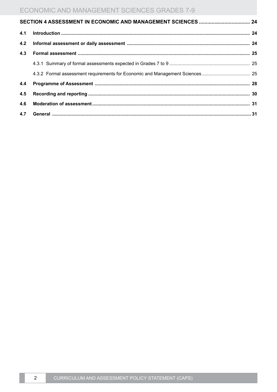| 4.2 |  |
|-----|--|
|     |  |
|     |  |
|     |  |
| 4.4 |  |
| 4.5 |  |
| 4.6 |  |
|     |  |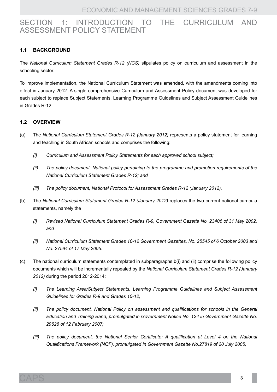# SECTION 1: INTRODUCTION TO THE CURRICULUM AND Assessment Policy Statement

### **1.1 Background**

The *National Curriculum Statement Grades R-12 (NCS)* stipulates policy on curriculum and assessment in the schooling sector.

To improve implementation, the National Curriculum Statement was amended, with the amendments coming into effect in January 2012. A single comprehensive Curriculum and Assessment Policy document was developed for each subject to replace Subject Statements, Learning Programme Guidelines and Subject Assessment Guidelines in Grades R-12.

### **1.2 Overview**

- (a) The *National Curriculum Statement Grades R-12 (January 2012)* represents a policy statement for learning and teaching in South African schools and comprises the following:
	- *(i) Curriculum and Assessment Policy Statements for each approved school subject;*
	- *(ii) The policy document, National policy pertaining to the programme and promotion requirements of the National Curriculum Statement Grades R-12; and*
	- *(iii) The policy document, National Protocol for Assessment Grades R-12 (January 2012).*
- (b) The *National Curriculum Statement Grades R-12 (January 2012)* replaces the two current national curricula statements, namely the
	- *(i) Revised National Curriculum Statement Grades R-9, Government Gazette No. 23406 of 31 May 2002, and*
	- *(ii) National Curriculum Statement Grades 10-12 Government Gazettes, No. 25545 of 6 October 2003 and No. 27594 of 17 May 2005.*
- (c) The national curriculum statements contemplated in subparagraphs b(i) and (ii) comprise the following policy documents which will be incrementally repealed by the *National Curriculum Statement Grades R-12 (January 2012)* during the period 2012-2014:
	- *(i) The Learning Area/Subject Statements, Learning Programme Guidelines and Subject Assessment Guidelines for Grades R-9 and Grades 10-12;*
	- *(ii) The policy document, National Policy on assessment and qualifications for schools in the General Education and Training Band, promulgated in Government Notice No. 124 in Government Gazette No. 29626 of 12 February 2007;*
	- *(iii) The policy document, the National Senior Certificate: A qualification at Level 4 on the National Qualifications Framework (NQF), promulgated in Government Gazette No.27819 of 20 July 2005;*

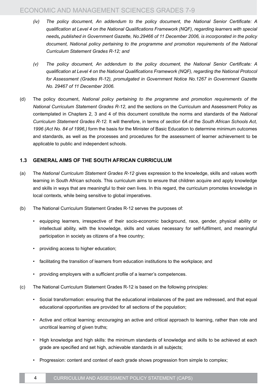- *(iv) The policy document, An addendum to the policy document, the National Senior Certificate: A qualification at Level 4 on the National Qualifications Framework (NQF), regarding learners with special needs, published in Government Gazette, No.29466 of 11 December 2006, is incorporated in the policy*  document. National policy pertaining to the programme and promotion requirements of the National *Curriculum Statement Grades R-12; and*
- *(v) The policy document, An addendum to the policy document, the National Senior Certificate: A qualification at Level 4 on the National Qualifications Framework (NQF), regarding the National Protocol for Assessment (Grades R-12), promulgated in Government Notice No.1267 in Government Gazette No. 29467 of 11 December 2006.*
- (d) The policy document, *National policy pertaining to the programme and promotion requirements of the National Curriculum Statement Grades R-12*, and the sections on the Curriculum and Assessment Policy as contemplated in Chapters 2, 3 and 4 of this document constitute the norms and standards of the *National Curriculum Statement Grades R-12.* It will therefore, in terms of *section 6A* of the *South African Schools Act, 1996 (Act No. 84 of 1996,)* form the basis for the Minister of Basic Education to determine minimum outcomes and standards, as well as the processes and procedures for the assessment of learner achievement to be applicable to public and independent schools.

## **1.3 General aims of the South African Curriculum**

- (a) The *National Curriculum Statement Grades R-12* gives expression to the knowledge, skills and values worth learning in South African schools. This curriculum aims to ensure that children acquire and apply knowledge and skills in ways that are meaningful to their own lives. In this regard, the curriculum promotes knowledge in local contexts, while being sensitive to global imperatives.
- (b) The National Curriculum Statement Grades R-12 serves the purposes of:
	- equipping learners, irrespective of their socio-economic background, race, gender, physical ability or intellectual ability, with the knowledge, skills and values necessary for self-fulfilment, and meaningful participation in society as citizens of a free country;
	- providing access to higher education;
	- facilitating the transition of learners from education institutions to the workplace; and
	- providing employers with a sufficient profile of a learner's competences.
- (c) The National Curriculum Statement Grades R-12 is based on the following principles:
	- Social transformation: ensuring that the educational imbalances of the past are redressed, and that equal educational opportunities are provided for all sections of the population;
	- Active and critical learning: encouraging an active and critical approach to learning, rather than rote and uncritical learning of given truths;
	- High knowledge and high skills: the minimum standards of knowledge and skills to be achieved at each grade are specified and set high, achievable standards in all subjects;
	- Progression: content and context of each grade shows progression from simple to complex;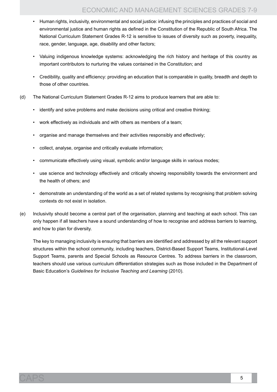- Human rights, inclusivity, environmental and social justice: infusing the principles and practices of social and environmental justice and human rights as defined in the Constitution of the Republic of South Africa. The National Curriculum Statement Grades R-12 is sensitive to issues of diversity such as poverty, inequality, race, gender, language, age, disability and other factors;
- Valuing indigenous knowledge systems: acknowledging the rich history and heritage of this country as important contributors to nurturing the values contained in the Constitution; and
- Credibility, quality and efficiency: providing an education that is comparable in quality, breadth and depth to those of other countries.
- (d) The National Curriculum Statement Grades R-12 aims to produce learners that are able to:
	- identify and solve problems and make decisions using critical and creative thinking;
	- work effectively as individuals and with others as members of a team;
	- organise and manage themselves and their activities responsibly and effectively;
	- collect, analyse, organise and critically evaluate information;
	- communicate effectively using visual, symbolic and/or language skills in various modes;
	- use science and technology effectively and critically showing responsibility towards the environment and the health of others; and
	- demonstrate an understanding of the world as a set of related systems by recognising that problem solving contexts do not exist in isolation.
- (e) Inclusivity should become a central part of the organisation, planning and teaching at each school. This can only happen if all teachers have a sound understanding of how to recognise and address barriers to learning, and how to plan for diversity.

The key to managing inclusivity is ensuring that barriers are identified and addressed by all the relevant support structures within the school community, including teachers, District-Based Support Teams, Institutional-Level Support Teams, parents and Special Schools as Resource Centres. To address barriers in the classroom, teachers should use various curriculum differentiation strategies such as those included in the Department of Basic Education's *Guidelines for Inclusive Teaching and Learning* (2010).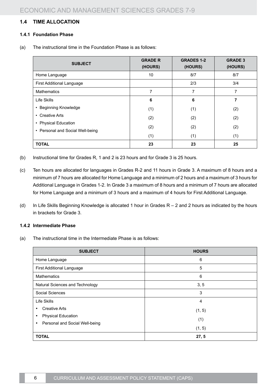### **1.4 Time Allocation**

### **1.4.1 Foundation Phase**

(a) The instructional time in the Foundation Phase is as follows:

| <b>SUBJECT</b>                   | <b>GRADE R</b><br>(HOURS) | <b>GRADES 1-2</b><br>(HOURS) | <b>GRADE 3</b><br>(HOURS) |
|----------------------------------|---------------------------|------------------------------|---------------------------|
| Home Language                    | 10                        | 8/7                          | 8/7                       |
| <b>First Additional Language</b> |                           | 2/3                          | 3/4                       |
| <b>Mathematics</b>               | 7                         | 7                            | 7                         |
| Life Skills                      | 6                         | 6                            | 7                         |
| • Beginning Knowledge            | (1)                       | (1)                          | (2)                       |
| • Creative Arts                  | (2)                       | (2)                          | (2)                       |
| • Physical Education             | (2)                       | (2)                          | (2)                       |
| • Personal and Social Well-being | (1)                       | (1)                          | (1)                       |
| <b>TOTAL</b>                     | 23                        | 23                           | 25                        |

- (b) Instructional time for Grades R, 1 and 2 is 23 hours and for Grade 3 is 25 hours.
- (c) Ten hours are allocated for languages in Grades R-2 and 11 hours in Grade 3. A maximum of 8 hours and a minimum of 7 hours are allocated for Home Language and a minimum of 2 hours and a maximum of 3 hours for Additional Language in Grades 1-2. In Grade 3 a maximum of 8 hours and a minimum of 7 hours are allocated for Home Language and a minimum of 3 hours and a maximum of 4 hours for First Additional Language.
- (d) In Life Skills Beginning Knowledge is allocated 1 hour in Grades  $R 2$  and 2 hours as indicated by the hours in brackets for Grade 3.

#### **1.4.2 Intermediate Phase**

(a) The instructional time in the Intermediate Phase is as follows:

| <b>SUBJECT</b>                                                                                     | <b>HOURS</b>            |
|----------------------------------------------------------------------------------------------------|-------------------------|
| Home Language                                                                                      | 6                       |
| <b>First Additional Language</b>                                                                   | 5                       |
| <b>Mathematics</b>                                                                                 | 6                       |
| Natural Sciences and Technology                                                                    | 3, 5                    |
| Social Sciences                                                                                    | 3                       |
| Life Skills                                                                                        | 4                       |
| <b>Creative Arts</b><br>٠<br><b>Physical Education</b><br>٠<br>Personal and Social Well-being<br>٠ | (1, 5)<br>(1)<br>(1, 5) |
| <b>TOTAL</b>                                                                                       | 27, 5                   |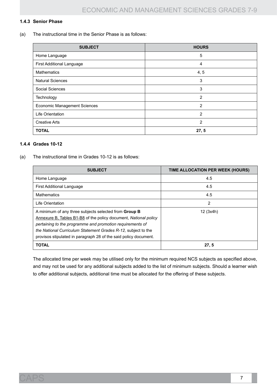#### **1.4.3 Senior Phase**

(a) The instructional time in the Senior Phase is as follows:

| <b>SUBJECT</b>                      | <b>HOURS</b>   |
|-------------------------------------|----------------|
| Home Language                       | 5              |
| <b>First Additional Language</b>    | 4              |
| <b>Mathematics</b>                  | 4, 5           |
| <b>Natural Sciences</b>             | 3              |
| Social Sciences                     | 3              |
| Technology                          | $\overline{2}$ |
| <b>Economic Management Sciences</b> | 2              |
| Life Orientation                    | 2              |
| <b>Creative Arts</b>                | 2              |
| <b>TOTAL</b>                        | 27, 5          |

#### **1.4.4 Grades 10-12**

(a) The instructional time in Grades 10-12 is as follows:

| <b>SUBJECT</b>                                                                                                                                                                                                                                                                                                              | TIME ALLOCATION PER WEEK (HOURS) |
|-----------------------------------------------------------------------------------------------------------------------------------------------------------------------------------------------------------------------------------------------------------------------------------------------------------------------------|----------------------------------|
| Home Language                                                                                                                                                                                                                                                                                                               | 4.5                              |
| <b>First Additional Language</b>                                                                                                                                                                                                                                                                                            | 4.5                              |
| <b>Mathematics</b>                                                                                                                                                                                                                                                                                                          | 4.5                              |
| Life Orientation                                                                                                                                                                                                                                                                                                            | 2                                |
| A minimum of any three subjects selected from Group B<br>Annexure B, Tables B1-B8 of the policy document, National policy<br>pertaining to the programme and promotion requirements of<br>the National Curriculum Statement Grades R-12, subject to the<br>provisos stipulated in paragraph 28 of the said policy document. | 12(3x4h)                         |
| <b>TOTAL</b>                                                                                                                                                                                                                                                                                                                | 27, 5                            |

The allocated time per week may be utilised only for the minimum required NCS subjects as specified above, and may not be used for any additional subjects added to the list of minimum subjects. Should a learner wish to offer additional subjects, additional time must be allocated for the offering of these subjects.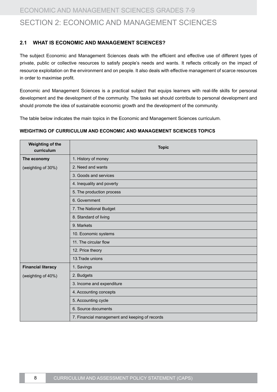### **2.1 What is Economic and Management Sciences?**

The subject Economic and Management Sciences deals with the efficient and effective use of different types of private, public or collective resources to satisfy people's needs and wants. It reflects critically on the impact of resource exploitation on the environment and on people. It also deals with effective management of scarce resources in order to maximise profit.

Economic and Management Sciences is a practical subject that equips learners with real-life skills for personal development and the development of the community. The tasks set should contribute to personal development and should promote the idea of sustainable economic growth and the development of the community.

The table below indicates the main topics in the Economic and Management Sciences curriculum.

#### **Weighting of curriculum and Economic and Management Sciences topics**

| Weighting of the<br>curriculum | <b>Topic</b>                                   |  |
|--------------------------------|------------------------------------------------|--|
| The economy                    | 1. History of money                            |  |
| (weighting of 30%)             | 2. Need and wants                              |  |
|                                | 3. Goods and services                          |  |
|                                | 4. Inequality and poverty                      |  |
|                                | 5. The production process                      |  |
|                                | 6. Government                                  |  |
|                                | 7. The National Budget                         |  |
|                                | 8. Standard of living                          |  |
|                                | 9. Markets                                     |  |
|                                | 10. Economic systems                           |  |
|                                | 11. The circular flow                          |  |
|                                | 12. Price theory                               |  |
|                                | 13. Trade unions                               |  |
| <b>Financial literacy</b>      | 1. Savings                                     |  |
| (weighting of 40%)             | 2. Budgets                                     |  |
|                                | 3. Income and expenditure                      |  |
|                                | 4. Accounting concepts                         |  |
|                                | 5. Accounting cycle                            |  |
|                                | 6. Source documents                            |  |
|                                | 7. Financial management and keeping of records |  |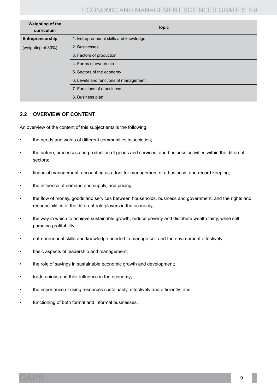| Weighting of the<br>curriculum      | <b>Topic</b>                            |
|-------------------------------------|-----------------------------------------|
| Entrepreneurship                    | 1. Entrepreneurial skills and knowledge |
| 2. Businesses<br>(weighting of 30%) |                                         |
|                                     | 3. Factors of production                |
|                                     | 4. Forms of ownership                   |
| 5. Sectors of the economy           |                                         |
|                                     | 6. Levels and functions of management   |
|                                     | 7. Functions of a business              |
|                                     | 8. Business plan                        |

## **2.2 Overview of content**

An overview of the content of this subject entails the following:

- the needs and wants of different communities in societies;
- the nature, processes and production of goods and services, and business activities within the different sectors;
- financial management, accounting as a tool for management of a business, and record keeping;
- the influence of demand and supply, and pricing;
- the flow of money, goods and services between households, business and government, and the rights and responsibilities of the different role players in the economy;
- the way in which to achieve sustainable growth, reduce poverty and distribute wealth fairly, while still pursuing profitability;
- entrepreneurial skills and knowledge needed to manage self and the environment effectively;
- basic aspects of leadership and management;
- the role of savings in sustainable economic growth and development;
- trade unions and their influence in the economy;
- the importance of using resources sustainably, effectively and efficiently; and
- functioning of both formal and informal businesses.

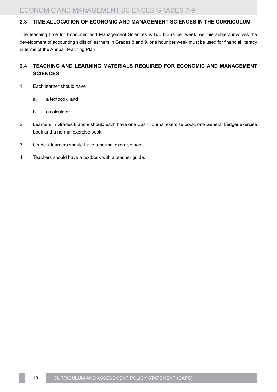### **2.3 Time allocation of Economic and Management Sciences in the curriculum**

The teaching time for Economic and Management Sciences is two hours per week. As this subject involves the development of accounting skills of learners in Grades 8 and 9, one hour per week must be used for financial literacy in terms of the Annual Teaching Plan.

## **2.4 Teaching and learning materials required for Economic and Management Sciences**

- 1. Each learner should have
	- a. a textbook; and
	- b. a calculator.
- 2. Learners in Grades 8 and 9 should each have one Cash Journal exercise book, one General Ledger exercise book and a normal exercise book.
- 3. Grade 7 learners should have a normal exercise book.
- 4. Teachers should have a textbook with a teacher guide.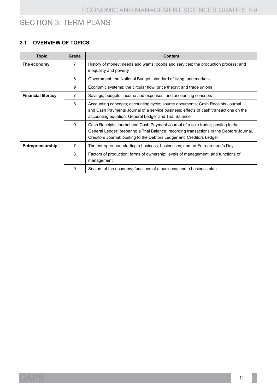# SECTION 3: TERM PLANS

### **3.1 Overview of topics**

| <b>Topic</b>              | Grade | <b>Content</b>                                                                                                                                                                                                                                        |
|---------------------------|-------|-------------------------------------------------------------------------------------------------------------------------------------------------------------------------------------------------------------------------------------------------------|
| The economy               | 7     | History of money; needs and wants; goods and services; the production process; and<br>inequality and poverty                                                                                                                                          |
|                           | 8     | Government; the National Budget; standard of living; and markets                                                                                                                                                                                      |
|                           | 9     | Economic systems; the circular flow; price theory; and trade unions                                                                                                                                                                                   |
| <b>Financial literacy</b> | 7     | Savings; budgets, income and expenses; and accounting concepts                                                                                                                                                                                        |
|                           | 8     | Accounting concepts; accounting cycle; source documents; Cash Receipts Journal<br>and Cash Payments Journal of a service business; effects of cash transactions on the<br>accounting equation; General Ledger and Trial Balance                       |
|                           | 9     | Cash Receipts Journal and Cash Payment Journal of a sole trader; posting to the<br>General Ledger; preparing a Trial Balance; recording transactions in the Debtors Journal,<br>Creditors Journal; posting to the Debtors Ledger and Creditors Ledger |
| Entrepreneurship          | 7     | The entrepreneur; starting a business; businesses; and an Entrepreneur's Day                                                                                                                                                                          |
|                           | 8     | Factors of production; forms of ownership; levels of management; and functions of<br>management                                                                                                                                                       |
|                           | 9     | Sectors of the economy; functions of a business; and a business plan                                                                                                                                                                                  |

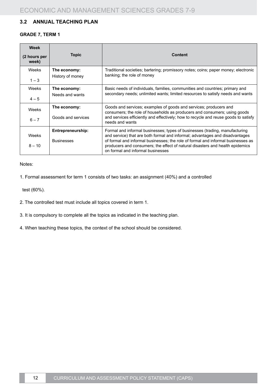## **3.2 Annual teaching plan**

#### **GRADE 7, TERM 1**

| Week                  |                                        |                                                                                                                                                                                                                                                                                                                                                                       |  |
|-----------------------|----------------------------------------|-----------------------------------------------------------------------------------------------------------------------------------------------------------------------------------------------------------------------------------------------------------------------------------------------------------------------------------------------------------------------|--|
| (2 hours per<br>week) | <b>Topic</b>                           | <b>Content</b>                                                                                                                                                                                                                                                                                                                                                        |  |
| Weeks<br>$1 - 3$      | The economy:<br>History of money       | Traditional societies; bartering; promissory notes; coins; paper money; electronic<br>banking; the role of money                                                                                                                                                                                                                                                      |  |
| Weeks<br>$4 - 5$      | The economy:<br>Needs and wants        | Basic needs of individuals, families, communities and countries; primary and<br>secondary needs; unlimited wants; limited resources to satisfy needs and wants                                                                                                                                                                                                        |  |
| Weeks<br>$6 - 7$      | The economy:<br>Goods and services     | Goods and services; examples of goods and services; producers and<br>consumers; the role of households as producers and consumers; using goods<br>and services efficiently and effectively; how to recycle and reuse goods to satisfy<br>needs and wants                                                                                                              |  |
| Weeks<br>$8 - 10$     | Entrepreneurship:<br><b>Businesses</b> | Formal and informal businesses; types of businesses (trading, manufacturing<br>and service) that are both formal and informal; advantages and disadvantages<br>of formal and informal businesses; the role of formal and informal businesses as<br>producers and consumers; the effect of natural disasters and health epidemics<br>on formal and informal businesses |  |

Notes:

1. Formal assessment for term 1 consists of two tasks: an assignment (40%) and a controlled

test (60%).

2. The controlled test must include all topics covered in term 1.

3. It is compulsory to complete all the topics as indicated in the teaching plan.

4. When teaching these topics, the context of the school should be considered.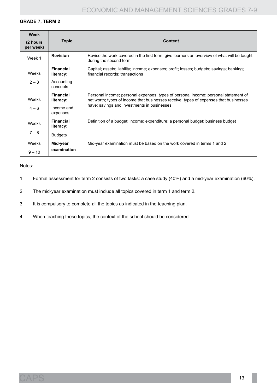#### **GRADE 7, TERM 2**

| <b>Week</b><br>(2 hours<br>per week) | <b>Topic</b>                  | Content                                                                                                                                                                      |
|--------------------------------------|-------------------------------|------------------------------------------------------------------------------------------------------------------------------------------------------------------------------|
| Week 1                               | <b>Revision</b>               | Revise the work covered in the first term; give learners an overview of what will be taught<br>during the second term                                                        |
| Weeks                                | <b>Financial</b><br>literacy: | Capital; assets; liability; income; expenses; profit; losses; budgets; savings; banking;<br>financial records; transactions                                                  |
| $2 - 3$                              | Accounting<br>concepts        |                                                                                                                                                                              |
| Weeks                                | <b>Financial</b><br>literacy: | Personal income; personal expenses; types of personal income; personal statement of<br>net worth; types of income that businesses receive; types of expenses that businesses |
| $4 - 6$                              | Income and<br>expenses        | have; savings and investments in businesses                                                                                                                                  |
| Weeks                                | <b>Financial</b><br>literacy: | Definition of a budget; income; expenditure; a personal budget; business budget                                                                                              |
| $7 - 8$                              | <b>Budgets</b>                |                                                                                                                                                                              |
| Weeks                                | Mid-year                      | Mid-year examination must be based on the work covered in terms 1 and 2                                                                                                      |
| $9 - 10$                             | examination                   |                                                                                                                                                                              |

- 1. Formal assessment for term 2 consists of two tasks: a case study (40%) and a mid-year examination (60%).
- 2. The mid-year examination must include all topics covered in term 1 and term 2.
- 3. It is compulsory to complete all the topics as indicated in the teaching plan.
- 4. When teaching these topics, the context of the school should be considered.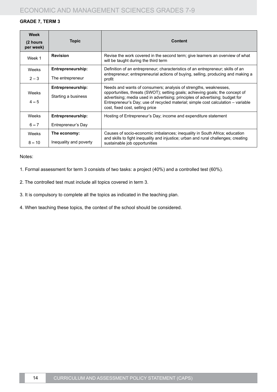#### **GRADE 7, TERM 3**

| Week<br>(2 hours<br>per week) | <b>Topic</b>                             | <b>Content</b>                                                                                                                                                                                                                                                                                                                                            |
|-------------------------------|------------------------------------------|-----------------------------------------------------------------------------------------------------------------------------------------------------------------------------------------------------------------------------------------------------------------------------------------------------------------------------------------------------------|
| Week 1                        | <b>Revision</b>                          | Revise the work covered in the second term; give learners an overview of what<br>will be taught during the third term                                                                                                                                                                                                                                     |
| Weeks                         | Entrepreneurship:                        | Definition of an entrepreneur; characteristics of an entrepreneur; skills of an                                                                                                                                                                                                                                                                           |
| $2 - 3$                       | The entrepreneur                         | entrepreneur; entrepreneurial actions of buying, selling, producing and making a<br>profit                                                                                                                                                                                                                                                                |
| Weeks<br>$4 - 5$              | Entrepreneurship:<br>Starting a business | Needs and wants of consumers; analysis of strengths, weaknesses,<br>opportunities, threats (SWOT); setting goals; achieving goals; the concept of<br>advertising; media used in advertising; principles of advertising; budget for<br>Entrepreneur's Day; use of recycled material; simple cost calculation - variable<br>cost, fixed cost, selling price |
| Weeks                         | Entrepreneurship:                        | Hosting of Entrepreneur's Day; income and expenditure statement                                                                                                                                                                                                                                                                                           |
| $6 - 7$                       | Entrepreneur's Day                       |                                                                                                                                                                                                                                                                                                                                                           |
| Weeks                         | The economy:                             | Causes of socio-economic imbalances; inequality in South Africa; education                                                                                                                                                                                                                                                                                |
| $8 - 10$                      | Inequality and poverty                   | and skills to fight inequality and injustice; urban and rural challenges; creating<br>sustainable job opportunities                                                                                                                                                                                                                                       |

Notes:

1. Formal assessment for term 3 consists of two tasks: a project (40%) and a controlled test (60%).

2. The controlled test must include all topics covered in term 3.

3. It is compulsory to complete all the topics as indicated in the teaching plan.

4. When teaching these topics, the context of the school should be considered.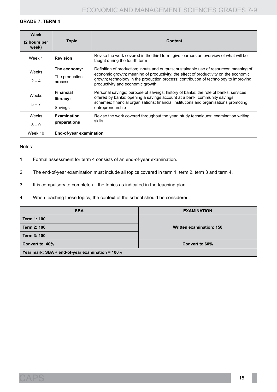#### **GRADE 7, TERM 4**

| Week<br>(2 hours per<br>week) | <b>Topic</b>                              | <b>Content</b>                                                                                                                                                                                                                                                                                              |  |
|-------------------------------|-------------------------------------------|-------------------------------------------------------------------------------------------------------------------------------------------------------------------------------------------------------------------------------------------------------------------------------------------------------------|--|
| Week 1                        | <b>Revision</b>                           | Revise the work covered in the third term; give learners an overview of what will be<br>taught during the fourth term                                                                                                                                                                                       |  |
| Weeks<br>$2 - 4$              | The economy:<br>The production<br>process | Definition of production; inputs and outputs; sustainable use of resources; meaning of<br>economic growth; meaning of productivity; the effect of productivity on the economic<br>growth; technology in the production process; contribution of technology to improving<br>productivity and economic growth |  |
| Weeks<br>$5 - 7$              | <b>Financial</b><br>literacy:<br>Savings  | Personal savings; purpose of savings; history of banks; the role of banks; services<br>offered by banks; opening a savings account at a bank; community savings<br>schemes; financial organisations; financial institutions and organisations promoting<br>entrepreneurship                                 |  |
| Weeks<br>$8 - 9$              | <b>Examination</b><br>preparations        | Revise the work covered throughout the year; study techniques; examination writing<br>skills                                                                                                                                                                                                                |  |
| Week 10                       | End-of-year examination                   |                                                                                                                                                                                                                                                                                                             |  |

- 1. Formal assessment for term 4 consists of an end-of-year examination.
- 2. The end-of-year examination must include all topics covered in term 1, term 2, term 3 and term 4.
- 3. It is compulsory to complete all the topics as indicated in the teaching plan.
- 4. When teaching these topics, the context of the school should be considered.

| <b>SBA</b>                                      | <b>EXAMINATION</b>              |  |
|-------------------------------------------------|---------------------------------|--|
| Term 1: 100                                     |                                 |  |
| Term 2: 100                                     | <b>Written examination: 150</b> |  |
| Term 3: 100                                     |                                 |  |
| Convert to 40%                                  | Convert to 60%                  |  |
| Year mark: SBA + end-of-year examination = 100% |                                 |  |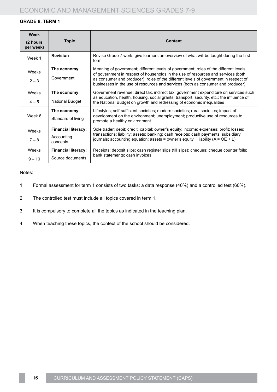#### **GRADE 8, TERM 1**

| Week<br>(2 hours<br>per week) | <b>Topic</b>                                         | <b>Content</b>                                                                                                                                                                                                                                                                                                                                       |
|-------------------------------|------------------------------------------------------|------------------------------------------------------------------------------------------------------------------------------------------------------------------------------------------------------------------------------------------------------------------------------------------------------------------------------------------------------|
| Week 1                        | <b>Revision</b>                                      | Revise Grade 7 work; give learners an overview of what will be taught during the first<br>term                                                                                                                                                                                                                                                       |
| Weeks<br>$2 - 3$              | The economy:<br>Government                           | Meaning of government; different levels of government; roles of the different levels<br>of government in respect of households in the use of resources and services (both<br>as consumer and producer); roles of the different levels of government in respect of<br>businesses in the use of resources and services (both as consumer and producer) |
| Weeks<br>$4 - 5$              | The economy:<br>National Budget                      | Government revenue: direct tax, indirect tax; government expenditure on services such<br>as education, health, housing, social grants, transport, security, etc.; the influence of<br>the National Budget on growth and redressing of economic inequalities                                                                                          |
| Week 6                        | The economy:<br>Standard of living                   | Lifestyles; self-sufficient societies; modern societies; rural societies; impact of<br>development on the environment; unemployment; productive use of resources to<br>promote a healthy environment                                                                                                                                                 |
| Weeks<br>$7 - 8$              | <b>Financial literacy:</b><br>Accounting<br>concepts | Sole trader; debit; credit; capital; owner's equity; income; expenses; profit; losses;<br>transactions; liability; assets; banking; cash receipts; cash payments; subsidiary<br>journals; accounting equation: assets = owner's equity + liability ( $A = OE + L$ )                                                                                  |
| Weeks<br>$9 - 10$             | <b>Financial literacy:</b><br>Source documents       | Receipts; deposit slips; cash register slips (till slips); cheques; cheque counter foils;<br>bank statements; cash invoices                                                                                                                                                                                                                          |

- 1. Formal assessment for term 1 consists of two tasks: a data response (40%) and a controlled test (60%).
- 2. The controlled test must include all topics covered in term 1.
- 3. It is compulsory to complete all the topics as indicated in the teaching plan.
- 4. When teaching these topics, the context of the school should be considered.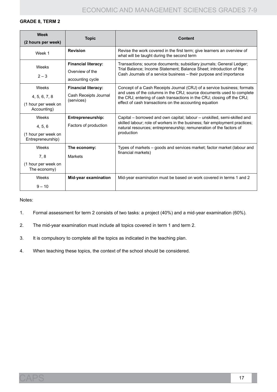### **GRADE 8, TERM 2**

| <b>Week</b><br>(2 hours per week)                            | <b>Topic</b>                                                      | <b>Content</b>                                                                                                                                                                                                                                                                        |
|--------------------------------------------------------------|-------------------------------------------------------------------|---------------------------------------------------------------------------------------------------------------------------------------------------------------------------------------------------------------------------------------------------------------------------------------|
| Week 1                                                       | <b>Revision</b>                                                   | Revise the work covered in the first term; give learners an overview of<br>what will be taught during the second term                                                                                                                                                                 |
| Weeks<br>$2 - 3$                                             | <b>Financial literacy:</b><br>Overview of the<br>accounting cycle | Transactions; source documents; subsidiary journals; General Ledger;<br>Trial Balance; Income Statement; Balance Sheet; introduction of the<br>Cash Journals of a service business – their purpose and importance                                                                     |
| Weeks<br>4, 5, 6, 7, 8<br>(1 hour per week on<br>Accounting) | <b>Financial literacy:</b><br>Cash Receipts Journal<br>(services) | Concept of a Cash Receipts Journal (CRJ) of a service business; formats<br>and uses of the columns in the CRJ; source documents used to complete<br>the CRJ; entering of cash transactions in the CRJ; closing off the CRJ;<br>effect of cash transactions on the accounting equation |
| Weeks<br>4, 5, 6<br>(1 hour per week on<br>Entrepreneurship) | <b>Entrepreneurship:</b><br>Factors of production                 | Capital – borrowed and own capital; labour – unskilled, semi-skilled and<br>skilled labour; role of workers in the business; fair employment practices;<br>natural resources; entrepreneurship; remuneration of the factors of<br>production                                          |
| Weeks<br>7.8<br>(1 hour per week on<br>The economy)          | The economy:<br>Markets                                           | Types of markets – goods and services market; factor market (labour and<br>financial markets)                                                                                                                                                                                         |
| Weeks<br>$9 - 10$                                            | <b>Mid-year examination</b>                                       | Mid-year examination must be based on work covered in terms 1 and 2                                                                                                                                                                                                                   |

- 1. Formal assessment for term 2 consists of two tasks: a project (40%) and a mid-year examination (60%).
- 2. The mid-year examination must include all topics covered in term 1 and term 2.
- 3. It is compulsory to complete all the topics as indicated in the teaching plan.
- 4. When teaching these topics, the context of the school should be considered.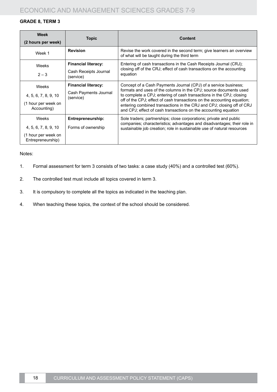#### **GRADE 8, TERM 3**

| Week<br>(2 hours per week)                                                       | <b>Topic</b>                                                     | Content                                                                                                                                                                                                                                                                                                                                                                                                                             |
|----------------------------------------------------------------------------------|------------------------------------------------------------------|-------------------------------------------------------------------------------------------------------------------------------------------------------------------------------------------------------------------------------------------------------------------------------------------------------------------------------------------------------------------------------------------------------------------------------------|
| Week 1                                                                           | <b>Revision</b>                                                  | Revise the work covered in the second term; give learners an overview<br>of what will be taught during the third term                                                                                                                                                                                                                                                                                                               |
| Weeks<br>$2 - 3$                                                                 | <b>Financial literacy:</b><br>Cash Receipts Journal<br>(service) | Entering of cash transactions in the Cash Receipts Journal (CRJ);<br>closing off of the CRJ; effect of cash transactions on the accounting<br>equation                                                                                                                                                                                                                                                                              |
| Weeks<br>4, 5, 6, 7, 8, 9, 10<br>(1 hour per week on<br>Accounting)              | <b>Financial literacy:</b><br>Cash Payments Journal<br>(service) | Concept of a Cash Payments Journal (CPJ) of a service business;<br>formats and uses of the columns in the CPJ; source documents used<br>to complete a CPJ; entering of cash transactions in the CPJ; closing<br>off of the CPJ; effect of cash transactions on the accounting equation;<br>entering combined transactions in the CRJ and CPJ; closing off of CRJ<br>and CPJ; effect of cash transactions on the accounting equation |
| <b>Weeks</b><br>4, 5, 6, 7, 8, 9, 10<br>(1 hour per week on<br>Entrepreneurship) | Entrepreneurship:<br>Forms of ownership                          | Sole traders; partnerships; close corporations; private and public<br>companies; characteristics; advantages and disadvantages; their role in<br>sustainable job creation; role in sustainable use of natural resources                                                                                                                                                                                                             |

#### Notes:

1. Formal assessment for term 3 consists of two tasks: a case study (40%) and a controlled test (60%).

2. The controlled test must include all topics covered in term 3.

3. It is compulsory to complete all the topics as indicated in the teaching plan.

4. When teaching these topics, the context of the school should be considered.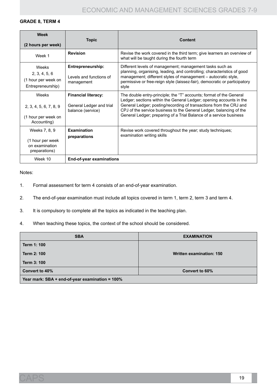#### **GRADE 8, TERM 4**

| Week<br>(2 hours per week)                                            | <b>Topic</b>                                                                | <b>Content</b>                                                                                                                                                                                                                                                                                                                                                |
|-----------------------------------------------------------------------|-----------------------------------------------------------------------------|---------------------------------------------------------------------------------------------------------------------------------------------------------------------------------------------------------------------------------------------------------------------------------------------------------------------------------------------------------------|
| Week 1                                                                | <b>Revision</b>                                                             | Revise the work covered in the third term; give learners an overview of<br>what will be taught during the fourth term                                                                                                                                                                                                                                         |
| Weeks<br>2, 3, 4, 5, 6<br>(1 hour per week on<br>Entrepreneurship)    | <b>Entrepreneurship:</b><br>Levels and functions of<br>management           | Different levels of management; management tasks such as<br>planning, organising, leading, and controlling; characteristics of good<br>management; different styles of management – autocratic style,<br>permissive or free-reign style (laissez-fair), democratic or participatory<br>style                                                                  |
| Weeks<br>2, 3, 4, 5, 6, 7, 8, 9<br>(1 hour per week on<br>Accounting) | <b>Financial literacy:</b><br>General Ledger and trial<br>balance (service) | The double entry-principle; the "T" accounts; format of the General<br>Ledger; sections within the General Ledger; opening accounts in the<br>General Ledger; posting/recording of transactions from the CRJ and<br>CPJ of the service business to the General Ledger, balancing of the<br>General Ledger; preparing of a Trial Balance of a service business |
| Weeks 7, 8, 9<br>(1 hour per week<br>on examination<br>preparations)  | Examination<br>preparations                                                 | Revise work covered throughout the year; study techniques;<br>examination writing skills                                                                                                                                                                                                                                                                      |
| Week 10                                                               | <b>End-of-year examinations</b>                                             |                                                                                                                                                                                                                                                                                                                                                               |

- 1. Formal assessment for term 4 consists of an end-of-year examination.
- 2. The end-of-year examination must include all topics covered in term 1, term 2, term 3 and term 4.
- 3. It is compulsory to complete all the topics as indicated in the teaching plan.
- 4. When teaching these topics, the context of the school should be considered.

| <b>SBA</b>                                      | <b>EXAMINATION</b>              |  |
|-------------------------------------------------|---------------------------------|--|
| Term 1: 100                                     |                                 |  |
| Term 2: 100                                     | <b>Written examination: 150</b> |  |
| Term 3: 100                                     |                                 |  |
| Convert to 40%                                  | Convert to 60%                  |  |
| Year mark: SBA + end-of-year examination = 100% |                                 |  |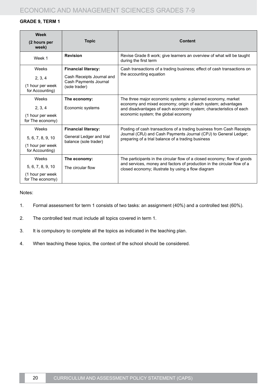#### **GRADE 9, TERM 1**

| Week<br>(2 hours per<br>week)        | <b>Topic</b>                           | <b>Content</b>                                                                                                                     |  |
|--------------------------------------|----------------------------------------|------------------------------------------------------------------------------------------------------------------------------------|--|
| Week 1                               | <b>Revision</b>                        | Revise Grade 8 work; give learners an overview of what will be taught<br>during the first term                                     |  |
| Weeks                                | <b>Financial literacy:</b>             | Cash transactions of a trading business; effect of cash transactions on                                                            |  |
| 2, 3, 4                              | Cash Receipts Journal and              | the accounting equation                                                                                                            |  |
| (1 hour per week<br>for Accounting)  | Cash Payments Journal<br>(sole trader) |                                                                                                                                    |  |
| Weeks                                | The economy:                           | The three major economic systems: a planned economy, market                                                                        |  |
| 2, 3, 4                              | Economic systems                       | economy and mixed economy; origin of each system; advantages<br>and disadvantages of each economic system; characteristics of each |  |
| (1 hour per week<br>for The economy) |                                        | economic system; the global economy                                                                                                |  |
| Weeks                                | <b>Financial literacy:</b>             | Posting of cash transactions of a trading business from Cash Receipts                                                              |  |
| 5, 6, 7, 8, 9, 10                    | General Ledger and trial               | Journal (CRJ) and Cash Payments Journal (CPJ) to General Ledger;<br>preparing of a trial balance of a trading business             |  |
| (1 hour per week<br>for Accounting)  | balance (sole trader)                  |                                                                                                                                    |  |
| Weeks                                | The economy:                           | The participants in the circular flow of a closed economy; flow of goods                                                           |  |
| 5, 6, 7, 8, 9, 10                    | The circular flow                      | and services, money and factors of production in the circular flow of a<br>closed economy; illustrate by using a flow diagram      |  |
| (1 hour per week<br>for The economy) |                                        |                                                                                                                                    |  |

- 1. Formal assessment for term 1 consists of two tasks: an assignment (40%) and a controlled test (60%).
- 2. The controlled test must include all topics covered in term 1.
- 3. It is compulsory to complete all the topics as indicated in the teaching plan.
- 4. When teaching these topics, the context of the school should be considered.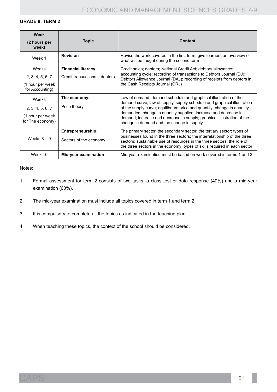#### **GRADE 9, TERM 2**

| <b>Week</b><br>(2 hours per<br>week)                              | <b>Topic</b>                                                | Content                                                                                                                                                                                                                                                                                                                                                                                                          |
|-------------------------------------------------------------------|-------------------------------------------------------------|------------------------------------------------------------------------------------------------------------------------------------------------------------------------------------------------------------------------------------------------------------------------------------------------------------------------------------------------------------------------------------------------------------------|
| Week 1                                                            | <b>Revision</b>                                             | Revise the work covered in the first term; give learners an overview of<br>what will be taught during the second term                                                                                                                                                                                                                                                                                            |
| Weeks<br>2, 3, 4, 5, 6, 7<br>(1 hour per week<br>for Accounting)  | <b>Financial literacy:</b><br>Credit transactions - debtors | Credit sales; debtors; National Credit Act; debtors allowance;<br>accounting cycle; recording of transactions to Debtors Journal (DJ);<br>Debtors Allowance Journal (DAJ); recording of receipts from debtors in<br>the Cash Receipts Journal (CRJ)                                                                                                                                                              |
| Weeks<br>2, 3, 4, 5, 6, 7<br>(1 hour per week<br>for The economy) | The economy:<br>Price theory                                | Law of demand, demand schedule and graphical illustration of the<br>demand curve; law of supply, supply schedule and graphical illustration<br>of the supply curve; equilibrium price and quantity; change in quantity<br>demanded; change in quantity supplied; increase and decrease in<br>demand; increase and decrease in supply; graphical illustration of the<br>change in demand and the change in supply |
| Weeks $8-9$                                                       | Entrepreneurship:<br>Sectors of the economy                 | The primary sector, the secondary sector, the tertiary sector; types of<br>businesses found in the three sectors; the interrelationship of the three<br>sectors; sustainable use of resources in the three sectors; the role of<br>the three sectors in the economy; types of skills required in each sector                                                                                                     |
| Week 10                                                           | <b>Mid-year examination</b>                                 | Mid-year examination must be based on work covered in terms 1 and 2                                                                                                                                                                                                                                                                                                                                              |

- 1. Formal assessment for term 2 consists of two tasks: a class test or data response (40%) and a mid-year examination (60%).
- 2. The mid-year examination must include all topics covered in term 1 and term 2.
- 3. It is compulsory to complete all the topics as indicated in the teaching plan.
- 4. When teaching these topics, the context of the school should be considered.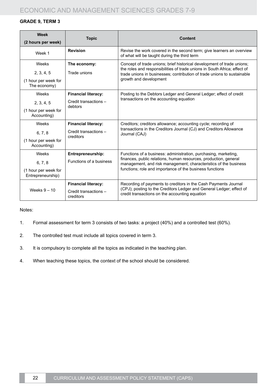#### **GRADE 9, TERM 3**

| <b>Week</b><br>(2 hours per week)                             | <b>Topic</b>                                                     | <b>Content</b>                                                                                                                                                                                                                                                      |
|---------------------------------------------------------------|------------------------------------------------------------------|---------------------------------------------------------------------------------------------------------------------------------------------------------------------------------------------------------------------------------------------------------------------|
| Week 1                                                        | <b>Revision</b>                                                  | Revise the work covered in the second term; give learners an overview<br>of what will be taught during the third term                                                                                                                                               |
| Weeks<br>2, 3, 4, 5<br>(1 hour per week for<br>The economy)   | The economy:<br>Trade unions                                     | Concept of trade unions; brief historical development of trade unions;<br>the roles and responsibilities of trade unions in South Africa; effect of<br>trade unions in businesses; contribution of trade unions to sustainable<br>growth and development            |
| Weeks<br>2, 3, 4, 5<br>(1 hour per week for<br>Accounting)    | <b>Financial literacy:</b><br>Credit transactions -<br>debtors   | Posting to the Debtors Ledger and General Ledger; effect of credit<br>transactions on the accounting equation                                                                                                                                                       |
| Weeks<br>6, 7, 8<br>(1 hour per week for<br>Accounting)       | <b>Financial literacy:</b><br>Credit transactions -<br>creditors | Creditors; creditors allowance; accounting cycle; recording of<br>transactions in the Creditors Journal (CJ) and Creditors Allowance<br>Journal (CAJ)                                                                                                               |
| Weeks<br>6, 7, 8<br>(1 hour per week for<br>Entrepreneurship) | Entrepreneurship:<br>Functions of a business                     | Functions of a business: administration, purchasing, marketing,<br>finances, public relations, human resources, production, general<br>management, and risk management; characteristics of the business<br>functions; role and importance of the business functions |
| Weeks $9 - 10$                                                | <b>Financial literacy:</b><br>Credit transactions -<br>creditors | Recording of payments to creditors in the Cash Payments Journal<br>(CPJ); posting to the Creditors Ledger and General Ledger; effect of<br>credit transactions on the accounting equation                                                                           |

- 1. Formal assessment for term 3 consists of two tasks: a project (40%) and a controlled test (60%).
- 2. The controlled test must include all topics covered in term 3.
- 3. It is compulsory to complete all the topics as indicated in the teaching plan.
- 4. When teaching these topics, the context of the school should be considered.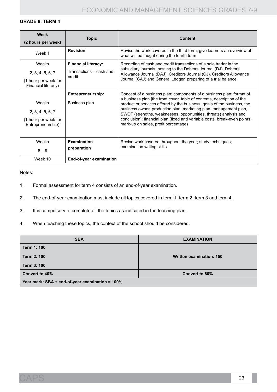#### **GRADE 9, TERM 4**

| <b>Week</b><br>(2 hours per week)                                      | <b>Topic</b>                              | Content                                                                                                                                                                                                                                                                                                                                                                                                                                                                                   |
|------------------------------------------------------------------------|-------------------------------------------|-------------------------------------------------------------------------------------------------------------------------------------------------------------------------------------------------------------------------------------------------------------------------------------------------------------------------------------------------------------------------------------------------------------------------------------------------------------------------------------------|
| Week 1                                                                 | <b>Revision</b>                           | Revise the work covered in the third term; give learners an overview of<br>what will be taught during the fourth term                                                                                                                                                                                                                                                                                                                                                                     |
| Weeks                                                                  | <b>Financial literacy:</b>                | Recording of cash and credit transactions of a sole trader in the<br>subsidiary journals; posting to the Debtors Journal (DJ), Debtors                                                                                                                                                                                                                                                                                                                                                    |
| 2, 3, 4, 5, 6, 7<br>(1 hour per week for<br>Financial literacy)        | Transactions - cash and<br>credit         | Allowance Journal (DAJ), Creditors Journal (CJ), Creditors Allowance<br>Journal (CAJ) and General Ledger; preparing of a trial balance                                                                                                                                                                                                                                                                                                                                                    |
| Weeks<br>2, 3, 4, 5, 6, 7<br>(1 hour per week for<br>Entrepreneurship) | <b>Entrepreneurship:</b><br>Business plan | Concept of a business plan; components of a business plan; format of<br>a business plan [the front cover, table of contents, description of the<br>product or services offered by the business, goals of the business, the<br>business owner, production plan, marketing plan, management plan,<br>SWOT (strengths, weaknesses, opportunities, threats) analysis and<br>conclusion]; financial plan (fixed and variable costs, break-even points,<br>mark-up on sales, profit percentage) |
| Weeks<br>$8 - 9$                                                       | Examination<br>preparation                | Revise work covered throughout the year; study techniques;<br>examination writing skills                                                                                                                                                                                                                                                                                                                                                                                                  |
| Week 10                                                                | End-of-year examination                   |                                                                                                                                                                                                                                                                                                                                                                                                                                                                                           |

- 1. Formal assessment for term 4 consists of an end-of-year examination.
- 2. The end-of-year examination must include all topics covered in term 1, term 2, term 3 and term 4.
- 3. It is compulsory to complete all the topics as indicated in the teaching plan.
- 4. When teaching these topics, the context of the school should be considered.

| <b>SBA</b>                                      | <b>EXAMINATION</b>              |  |
|-------------------------------------------------|---------------------------------|--|
| Term 1: 100                                     |                                 |  |
| Term 2: 100                                     | <b>Written examination: 150</b> |  |
| Term 3: 100                                     |                                 |  |
| Convert to 40%                                  | Convert to 60%                  |  |
| Year mark: SBA + end-of-year examination = 100% |                                 |  |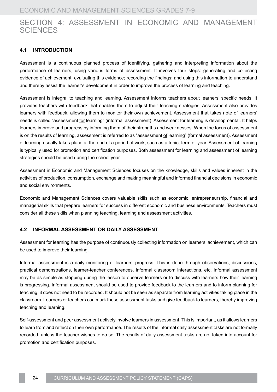# SECTION 4: ASSESSMENT IN ECONOMIC AND MANAGEMENT **SCIENCES**

### **4.1 Introduction**

Assessment is a continuous planned process of identifying, gathering and interpreting information about the performance of learners, using various forms of assessment. It involves four steps: generating and collecting evidence of achievement; evaluating this evidence; recording the findings; and using this information to understand and thereby assist the learner's development in order to improve the process of learning and teaching.

Assessment is integral to teaching and learning. Assessment informs teachers about learners' specific needs. It provides teachers with feedback that enables them to adjust their teaching strategies. Assessment also provides learners with feedback, allowing them to monitor their own achievement. Assessment that takes note of learners' needs is called "assessment for learning" (informal assessment). Assessment for learning is developmental. It helps learners improve and progress by informing them of their strengths and weaknesses. When the focus of assessment is on the results of learning, assessment is referred to as "assessment of learning" (formal assessment). Assessment of learning usually takes place at the end of a period of work, such as a topic, term or year. Assessment of learning is typically used for promotion and certification purposes. Both assessment for learning and assessment of learning strategies should be used during the school year.

Assessment in Economic and Management Sciences focuses on the knowledge, skills and values inherent in the activities of production, consumption, exchange and making meaningful and informed financial decisions in economic and social environments.

Economic and Management Sciences covers valuable skills such as economic, entrepreneurship, financial and managerial skills that prepare learners for success in different economic and business environments. Teachers must consider all these skills when planning teaching, learning and assessment activities.

### **4.2 Informal assessment or daily assessment**

Assessment for learning has the purpose of continuously collecting information on learners' achievement, which can be used to improve their learning.

Informal assessment is a daily monitoring of learners' progress. This is done through observations, discussions, practical demonstrations, learner-teacher conferences, informal classroom interactions, etc. Informal assessment may be as simple as stopping during the lesson to observe learners or to discuss with learners how their learning is progressing. Informal assessment should be used to provide feedback to the learners and to inform planning for teaching, it does not need to be recorded. It should not be seen as separate from learning activities taking place in the classroom. Learners or teachers can mark these assessment tasks and give feedback to learners, thereby improving teaching and learning.

Self-assessment and peer assessment actively involve learners in assessment. This is important, as it allows learners to learn from and reflect on their own performance. The results of the informal daily assessment tasks are not formally recorded, unless the teacher wishes to do so. The results of daily assessment tasks are not taken into account for promotion and certification purposes.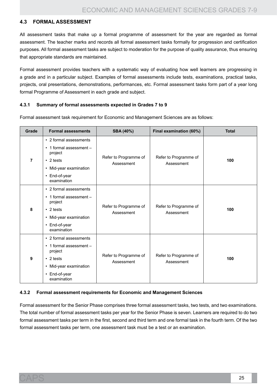### **4.3 Formal assessment**

All assessment tasks that make up a formal programme of assessment for the year are regarded as formal assessment. The teacher marks and records all formal assessment tasks formally for progression and certification purposes. All formal assessment tasks are subject to moderation for the purpose of quality assurance, thus ensuring that appropriate standards are maintained.

Formal assessment provides teachers with a systematic way of evaluating how well learners are progressing in a grade and in a particular subject. Examples of formal assessments include tests, examinations, practical tasks, projects, oral presentations, demonstrations, performances, etc. Formal assessment tasks form part of a year long formal Programme of Assessment in each grade and subject.

### **4.3.1 Summary of formal assessments expected in Grades 7 to 9**

| Grade          | <b>Formal assessments</b>                                                                                                                 | <b>SBA (40%)</b>                    | Final examination (60%)             | <b>Total</b> |  |
|----------------|-------------------------------------------------------------------------------------------------------------------------------------------|-------------------------------------|-------------------------------------|--------------|--|
| $\overline{7}$ | • 2 formal assessments<br>• 1 formal assessment -<br>project                                                                              |                                     |                                     |              |  |
|                | $\cdot$ 2 tests<br>• Mid-year examination                                                                                                 | Refer to Programme of<br>Assessment | Refer to Programme of<br>Assessment | 100          |  |
|                | • End-of-year<br>examination                                                                                                              |                                     |                                     |              |  |
| 8              | • 2 formal assessments<br>• 1 formal assessment -<br>project<br>$\cdot$ 2 tests<br>• Mid-year examination<br>• End-of-year<br>examination | Refer to Programme of<br>Assessment | Refer to Programme of<br>Assessment | 100          |  |
| 9              | • 2 formal assessments<br>• 1 formal assessment -<br>project<br>$\cdot$ 2 tests<br>• Mid-year examination<br>• End-of-year<br>examination | Refer to Programme of<br>Assessment | Refer to Programme of<br>Assessment | 100          |  |

Formal assessment task requirement for Economic and Management Sciences are as follows:

### **4.3.2 Formal assessment requirements for Economic and Management Sciences**

Formal assessment for the Senior Phase comprises three formal assessment tasks, two tests, and two examinations. The total number of formal assessment tasks per year for the Senior Phase is seven. Learners are required to do two formal assessment tasks per term in the first, second and third term and one formal task in the fourth term. Of the two formal assessment tasks per term, one assessment task must be a test or an examination.

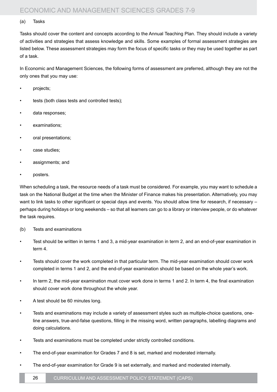#### (a) Tasks

Tasks should cover the content and concepts according to the Annual Teaching Plan. They should include a variety of activities and strategies that assess knowledge and skills. Some examples of formal assessment strategies are listed below. These assessment strategies may form the focus of specific tasks or they may be used together as part of a task.

In Economic and Management Sciences, the following forms of assessment are preferred, although they are not the only ones that you may use:

- projects;
- tests (both class tests and controlled tests);
- data responses;
- examinations:
- oral presentations;
- case studies;
- assignments; and
- posters.

When scheduling a task, the resource needs of a task must be considered. For example, you may want to schedule a task on the National Budget at the time when the Minister of Finance makes his presentation. Alternatively, you may want to link tasks to other significant or special days and events. You should allow time for research, if necessary – perhaps during holidays or long weekends – so that all learners can go to a library or interview people, or do whatever the task requires.

- (b) Tests and examinations
- Test should be written in terms 1 and 3, a mid-year examination in term 2, and an end-of-year examination in term 4.
- Tests should cover the work completed in that particular term. The mid-year examination should cover work completed in terms 1 and 2, and the end-of-year examination should be based on the whole year's work.
- In term 2, the mid-year examination must cover work done in terms 1 and 2. In term 4, the final examination should cover work done throughout the whole year.
- A test should be 60 minutes long.
- Tests and examinations may include a variety of assessment styles such as multiple-choice questions, oneline answers, true-and-false questions, filling in the missing word, written paragraphs, labelling diagrams and doing calculations.
- Tests and examinations must be completed under strictly controlled conditions.
- The end-of-year examination for Grades 7 and 8 is set, marked and moderated internally.
- The end-of-year examination for Grade 9 is set externally, and marked and moderated internally.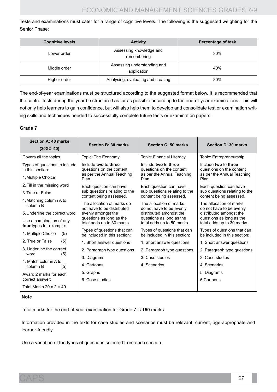Tests and examinations must cater for a range of cognitive levels. The following is the suggested weighting for the Senior Phase:

| <b>Cognitive levels</b> | <b>Activity</b>                            | Percentage of task |  |
|-------------------------|--------------------------------------------|--------------------|--|
| Lower order             | Assessing knowledge and<br>remembering     | 30%                |  |
| Middle order            | Assessing understanding and<br>application | 40%                |  |
| Higher order            | Analysing, evaluating and creating         | 30%                |  |

The end-of-year examinations must be structured according to the suggested format below. It is recommended that the control tests during the year be structured as far as possible according to the end-of-year examinations. This will not only help learners to gain confidence, but will also help them to develop and consolidate test or examination writing skills and techniques needed to successfully complete future tests or examination papers.

#### **Grade 7**

| Section A: 40 marks<br>$(20X2=40)$                  | Section B: 30 marks                                         | Section C: 50 marks                                         | Section D: 30 marks                                                                     |  |
|-----------------------------------------------------|-------------------------------------------------------------|-------------------------------------------------------------|-----------------------------------------------------------------------------------------|--|
| Covers all the topics                               | <b>Topic: The Economy</b>                                   | <b>Topic: Financial Literacy</b>                            | Topic: Entrepreneurship                                                                 |  |
| Types of questions to include<br>in this section:   | Include two to three<br>questions on the content            | Include two to three<br>questions on the content            | Include two to three<br>questions on the content<br>as per the Annual Teaching<br>Plan. |  |
| 1. Multiple Choice                                  | as per the Annual Teaching<br>Plan.                         | as per the Annual Teaching<br>Plan.                         |                                                                                         |  |
| 2. Fill in the missing word                         | Each question can have                                      | Each question can have                                      | Each question can have<br>sub questions relating to the<br>content being assessed.      |  |
| 3. True or False                                    | sub questions relating to the<br>content being assessed.    | sub questions relating to the<br>content being assessed.    |                                                                                         |  |
| 4. Matching column A to<br>column B                 | The allocation of marks do<br>not have to be distributed    | The allocation of marks<br>do not have to be evenly         | The allocation of marks<br>do not have to be evenly                                     |  |
| 5. Underline the correct word                       | evenly amongst the                                          | distributed amongst the                                     | distributed amongst the                                                                 |  |
| Use a combination of any<br>four types for example: | questions as long as the<br>total adds up to 30 marks.      | questions as long as the<br>total adds up to 50 marks.      | questions as long as the<br>total adds up to 30 marks.                                  |  |
| 1. Multiple Choice<br>(5)                           | Types of questions that can<br>be included in this section: | Types of questions that can<br>be included in this section: | Types of questions that can<br>be included in this section:                             |  |
| 2. True or False<br>(5)                             | 1. Short answer questions                                   | 1. Short answer questions                                   | 1. Short answer questions                                                               |  |
| 3. Underline the correct<br>word                    | 2. Paragraph type questions                                 | 2. Paragraph type questions                                 | 2. Paragraph type questions                                                             |  |
| (5)                                                 | 3. Diagrams                                                 | 3. Case studies                                             | 3. Case studies                                                                         |  |
| 4. Match column A to<br>column B<br>(5)             | 4. Cartoons                                                 | 4. Scenarios                                                | 4. Scenarios                                                                            |  |
| Award 2 marks for each                              | 5. Graphs                                                   |                                                             | 5. Diagrams                                                                             |  |
| correct answer:                                     | 6. Case studies                                             |                                                             | 6.Cartoons                                                                              |  |
| Total Marks 20 $\times$ 2 = 40                      |                                                             |                                                             |                                                                                         |  |

#### **Note**

Total marks for the end-of-year examination for Grade 7 is **150** marks.

Information provided in the texts for case studies and scenarios must be relevant, current, age-appropriate and learner-friendly.

Use a variation of the types of questions selected from each section.

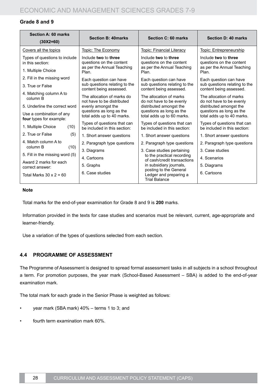### **Grade 8 and 9**

| Section A: 60 marks<br>$(30X2=60)$                  | <b>Section B: 40marks</b>                                   | Section C: 60 marks                                                      | Section D: 40 marks                                                                     |  |
|-----------------------------------------------------|-------------------------------------------------------------|--------------------------------------------------------------------------|-----------------------------------------------------------------------------------------|--|
| Covers all the topics                               | Topic: The Economy                                          | <b>Topic: Financial Literacy</b>                                         | Topic: Entrepreneurship                                                                 |  |
| Types of questions to include<br>in this section:   | Include two to three<br>questions on the content            | Include two to three<br>questions on the content                         | Include two to three<br>questions on the content<br>as per the Annual Teaching<br>Plan. |  |
| 1. Multiple Choice                                  | as per the Annual Teaching<br>Plan.                         | as per the Annual Teaching<br>Plan.                                      |                                                                                         |  |
| 2. Fill in the missing word                         | Each question can have                                      | Each question can have                                                   | Each question can have<br>sub questions relating to the<br>content being assessed.      |  |
| 3. True or False                                    | sub questions relating to the<br>content being assessed.    | sub questions relating to the<br>content being assessed.                 |                                                                                         |  |
| 4. Matching column A to<br>column B                 | The allocation of marks do<br>not have to be distributed    | The allocation of marks<br>do not have to be evenly                      | The allocation of marks<br>do not have to be evenly                                     |  |
| 5. Underline the correct word                       | evenly amongst the                                          | distributed amongst the                                                  | distributed amongst the                                                                 |  |
| Use a combination of any<br>four types for example: | questions as long as the<br>total adds up to 40 marks.      | questions as long as the<br>total adds up to 60 marks.                   | questions as long as the<br>total adds up to 40 marks.                                  |  |
| (10)<br>1. Multiple Choice                          | Types of questions that can<br>be included in this section: | Types of questions that can<br>be included in this section:              | Types of questions that can<br>be included in this section:                             |  |
| 2. True or False<br>(5)                             | 1. Short answer questions                                   | 1. Short answer questions                                                | 1. Short answer questions                                                               |  |
| 4. Match column A to<br>(10)<br>column B            | 2. Paragraph type questions                                 | 2. Paragraph type questions                                              | 2. Paragraph type questions                                                             |  |
| 5. Fill in the missing word (5)                     | 3. Diagrams                                                 | 3. Case studies pertaining                                               | 3. Case studies                                                                         |  |
|                                                     | 4. Cartoons                                                 | to the practical recording<br>of cash/credit transactions                | 4. Scenarios                                                                            |  |
| Award 2 marks for each<br>correct answer:           | 5. Graphs                                                   | in subsidiary journals,                                                  | 5. Diagrams                                                                             |  |
| Total Marks $30 \times 2 = 60$                      | 6. Case studies                                             | posting to the General<br>Ledger and preparing a<br><b>Trial Balance</b> | 6. Cartoons                                                                             |  |

#### **Note**

Total marks for the end-of-year examination for Grade 8 and 9 is **200** marks.

Information provided in the texts for case studies and scenarios must be relevant, current, age-appropriate and learner-friendly.

Use a variation of the types of questions selected from each section.

### **4.4 Programme of Assessment**

The Programme of Assessment is designed to spread formal assessment tasks in all subjects in a school throughout a term. For promotion purposes, the year mark (School-Based Assessment – SBA) is added to the end-of-year examination mark.

The total mark for each grade in the Senior Phase is weighted as follows:

- year mark (SBA mark) 40% terms 1 to 3; and
- fourth term examination mark 60%.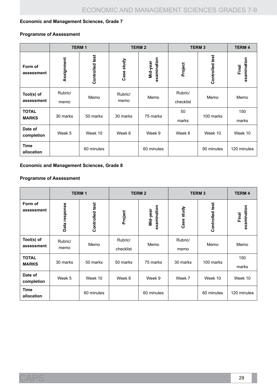## **Economic and Management Sciences, Grade 7**

### **Programme of Assessment**

|                              | <b>TERM1</b>    |                 |                 | <b>TERM 2</b>           |                      | <b>TERM 3</b>   | <b>TERM 4</b>        |
|------------------------------|-----------------|-----------------|-----------------|-------------------------|----------------------|-----------------|----------------------|
| Form of<br>assessment        | Assignment      | Controlled test | study<br>Case   | examination<br>Mid-year | Project              | Controlled test | examination<br>Final |
| Tool(s) of<br>assessment     | Rubric/<br>memo | Memo            | Rubric/<br>memo | Memo                    | Rubric/<br>checklist | Memo            | Memo                 |
| <b>TOTAL</b><br><b>MARKS</b> | 30 marks        | 50 marks        | 30 marks        | 75 marks                | 50<br>marks          | 100 marks       | 150<br>marks         |
| Date of<br>completion        | Week 5          | Week 10         | Week 6          | Week 9                  | Week 6               | Week 10         | Week 10              |
| Time<br>allocation           |                 | 60 minutes      |                 | 60 minutes              |                      | 90 minutes      | 120 minutes          |

## **Economic and Management Sciences, Grade 8**

### **Programme of Assessment**

|                              | <b>TERM1</b>    |                 | <b>TERM 2</b>        |                         | <b>TERM 3</b>   |                 | <b>TERM 4</b>        |
|------------------------------|-----------------|-----------------|----------------------|-------------------------|-----------------|-----------------|----------------------|
| Form of<br>assessment        | Data response   | Controlled test | Project              | examination<br>Mid-year | study<br>Case   | Controlled test | examination<br>Final |
| Tool(s) of<br>assessment     | Rubric/<br>memo | Memo            | Rubric/<br>checklist | Memo                    | Rubric/<br>memo | Memo            | Memo                 |
| <b>TOTAL</b><br><b>MARKS</b> | 30 marks        | 50 marks        | 50 marks             | 75 marks                | 30 marks        | 100 marks       | 150<br>marks         |
| Date of<br>completion        | Week 5          | Week 10         | Week 6               | Week 9                  | Week 7          | Week 10         | Week 10              |
| Time<br>allocation           |                 | 60 minutes      |                      | 60 minutes              |                 | 60 minutes      | 120 minutes          |

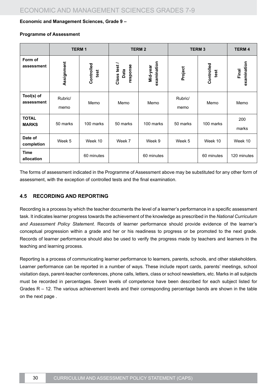### **Economic and Management Sciences, Grade 9 –**

#### **Programme of Assessment**

|                              | <b>TERM1</b>    |                    |                                | <b>TERM 2</b>           | <b>TERM3</b>    |                    | <b>TERM4</b>         |
|------------------------------|-----------------|--------------------|--------------------------------|-------------------------|-----------------|--------------------|----------------------|
| Form of<br>assessment        | Assignment      | Controlled<br>test | Class test<br>response<br>Data | examination<br>Mid-year | Project         | Controlled<br>test | examination<br>Final |
| Tool(s) of<br>assessment     | Rubric/<br>memo | Memo               | Memo                           | Memo                    | Rubric/<br>memo | Memo               | Memo                 |
| <b>TOTAL</b><br><b>MARKS</b> | 50 marks        | 100 marks          | 50 marks                       | 100 marks               | 50 marks        | 100 marks          | 200<br>marks         |
| Date of<br>completion        | Week 5          | Week 10            | Week 7                         | Week 9                  | Week 5          | Week 10            | Week 10              |
| <b>Time</b><br>allocation    |                 | 60 minutes         |                                | 60 minutes              |                 | 60 minutes         | 120 minutes          |

The forms of assessment indicated in the Programme of Assessment above may be substituted for any other form of assessment, with the exception of controlled tests and the final examination.

### **4.5 Recording and reporting**

Recording is a process by which the teacher documents the level of a learner's performance in a specific assessment task. It indicates learner progress towards the achievement of the knowledge as prescribed in the *National Curriculum and Assessment Policy Statement*. Records of learner performance should provide evidence of the learner's conceptual progression within a grade and her or his readiness to progress or be promoted to the next grade. Records of learner performance should also be used to verify the progress made by teachers and learners in the teaching and learning process.

Reporting is a process of communicating learner performance to learners, parents, schools, and other stakeholders. Learner performance can be reported in a number of ways. These include report cards, parents' meetings, school visitation days, parent-teacher conferences, phone calls, letters, class or school newsletters, etc. Marks in all subjects must be recorded in percentages. Seven levels of competence have been described for each subject listed for Grades R – 12. The various achievement levels and their corresponding percentage bands are shown in the table on the next page .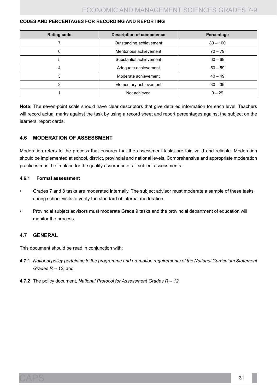#### **CODES AND PERCENTAGES FOR RECORDING AND REPORTING**

| <b>Rating code</b> | <b>Description of competence</b> | Percentage |
|--------------------|----------------------------------|------------|
|                    | Outstanding achievement          | $80 - 100$ |
| 6                  | Meritorious achievement          | $70 - 79$  |
| 5                  | Substantial achievement          | $60 - 69$  |
| 4                  | Adequate achievement             | $50 - 59$  |
| 3                  | Moderate achievement             | $40 - 49$  |
| っ                  | Elementary achievement           | $30 - 39$  |
|                    | Not achieved                     | $0 - 29$   |

**Note:** The seven-point scale should have clear descriptors that give detailed information for each level. Teachers will record actual marks against the task by using a record sheet and report percentages against the subject on the learners' report cards.

### **4.6 Moderation of assessment**

Moderation refers to the process that ensures that the assessment tasks are fair, valid and reliable. Moderation should be implemented at school, district, provincial and national levels. Comprehensive and appropriate moderation practices must be in place for the quality assurance of all subject assessments.

#### **4.6.1 Formal assessment**

- Grades 7 and 8 tasks are moderated internally. The subject advisor must moderate a sample of these tasks during school visits to verify the standard of internal moderation.
- Provincial subject advisors must moderate Grade 9 tasks and the provincial department of education will monitor the process.

### **4.7 General**

This document should be read in conjunction with:

- **4.7.1** *National policy pertaining to the programme and promotion requirements of the National Curriculum Statement Grades R – 12*; and
- **4.7.2** The policy document, *National Protocol for Assessment Grades R 12.*